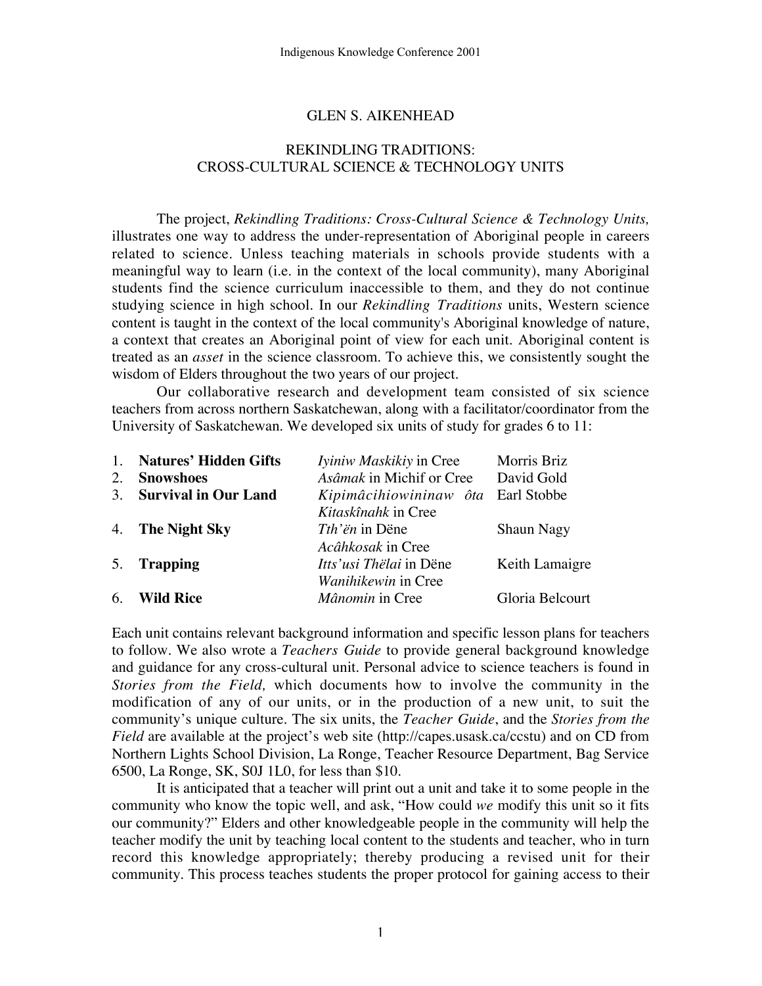#### GLEN S. AIKENHEAD

### REKINDLING TRADITIONS: CROSS-CULTURAL SCIENCE & TECHNOLOGY UNITS

The project, *Rekindling Traditions: Cross-Cultural Science & Technology Units,* illustrates one way to address the under-representation of Aboriginal people in careers related to science. Unless teaching materials in schools provide students with a meaningful way to learn (i.e. in the context of the local community), many Aboriginal students find the science curriculum inaccessible to them, and they do not continue studying science in high school. In our *Rekindling Traditions* units, Western science content is taught in the context of the local community's Aboriginal knowledge of nature, a context that creates an Aboriginal point of view for each unit. Aboriginal content is treated as an *asset* in the science classroom. To achieve this, we consistently sought the wisdom of Elders throughout the two years of our project.

Our collaborative research and development team consisted of six science teachers from across northern Saskatchewan, along with a facilitator/coordinator from the University of Saskatchewan. We developed six units of study for grades 6 to 11:

|    | 1. Natures' Hidden Gifts    | Iviniw Maskikiy in Cree            | Morris Briz       |
|----|-----------------------------|------------------------------------|-------------------|
| 2. | <b>Snowshoes</b>            | Asâmak in Michif or Cree           | David Gold        |
| 3. | <b>Survival in Our Land</b> | Kipimâcihiowininaw ôta Earl Stobbe |                   |
|    |                             | Kitaskînahk in Cree                |                   |
|    | 4. The Night Sky            | <i>Tth'ën</i> in Dëne              | <b>Shaun Nagy</b> |
|    |                             | Acâhkosak in Cree                  |                   |
|    | 5. Trapping                 | <i>Itts'usi Thëlai</i> in Dëne     | Keith Lamaigre    |
|    |                             | Wanihikewin in Cree                |                   |
| 6. | <b>Wild Rice</b>            | Mânomin in Cree                    | Gloria Belcourt   |
|    |                             |                                    |                   |

Each unit contains relevant background information and specific lesson plans for teachers to follow. We also wrote a *Teachers Guide* to provide general background knowledge and guidance for any cross-cultural unit. Personal advice to science teachers is found in *Stories from the Field,* which documents how to involve the community in the modification of any of our units, or in the production of a new unit, to suit the community's unique culture. The six units, the *Teacher Guide*, and the *Stories from the Field* are available at the project's web site (http://capes.usask.ca/ccstu) and on CD from Northern Lights School Division, La Ronge, Teacher Resource Department, Bag Service 6500, La Ronge, SK, S0J 1L0, for less than \$10.

It is anticipated that a teacher will print out a unit and take it to some people in the community who know the topic well, and ask, "How could *we* modify this unit so it fits our community?" Elders and other knowledgeable people in the community will help the teacher modify the unit by teaching local content to the students and teacher, who in turn record this knowledge appropriately; thereby producing a revised unit for their community. This process teaches students the proper protocol for gaining access to their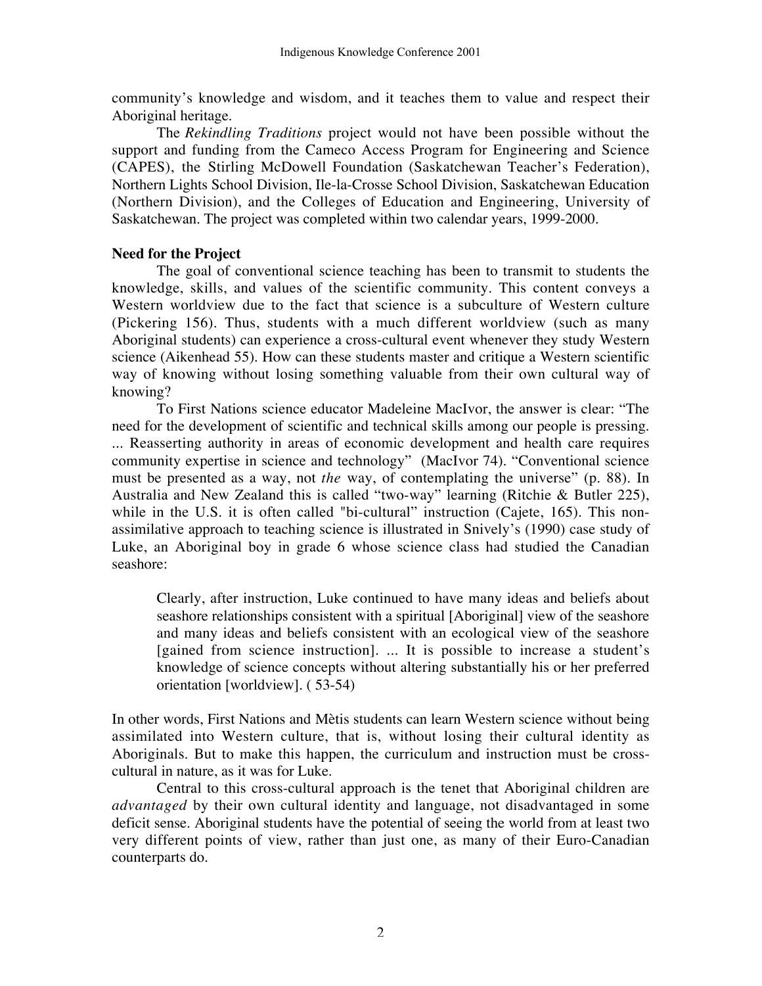community's knowledge and wisdom, and it teaches them to value and respect their Aboriginal heritage.

The *Rekindling Traditions* project would not have been possible without the support and funding from the Cameco Access Program for Engineering and Science (CAPES), the Stirling McDowell Foundation (Saskatchewan Teacher's Federation), Northern Lights School Division, Ile-la-Crosse School Division, Saskatchewan Education (Northern Division), and the Colleges of Education and Engineering, University of Saskatchewan. The project was completed within two calendar years, 1999-2000.

## **Need for the Project**

The goal of conventional science teaching has been to transmit to students the knowledge, skills, and values of the scientific community. This content conveys a Western worldview due to the fact that science is a subculture of Western culture (Pickering 156). Thus, students with a much different worldview (such as many Aboriginal students) can experience a cross-cultural event whenever they study Western science (Aikenhead 55). How can these students master and critique a Western scientific way of knowing without losing something valuable from their own cultural way of knowing?

To First Nations science educator Madeleine MacIvor, the answer is clear: "The need for the development of scientific and technical skills among our people is pressing. ... Reasserting authority in areas of economic development and health care requires community expertise in science and technology" (MacIvor 74). "Conventional science must be presented as a way, not *the* way, of contemplating the universe" (p. 88). In Australia and New Zealand this is called "two-way" learning (Ritchie & Butler 225), while in the U.S. it is often called "bi-cultural" instruction (Cajete, 165). This nonassimilative approach to teaching science is illustrated in Snively's (1990) case study of Luke, an Aboriginal boy in grade 6 whose science class had studied the Canadian seashore:

Clearly, after instruction, Luke continued to have many ideas and beliefs about seashore relationships consistent with a spiritual [Aboriginal] view of the seashore and many ideas and beliefs consistent with an ecological view of the seashore [gained from science instruction]. ... It is possible to increase a student's knowledge of science concepts without altering substantially his or her preferred orientation [worldview]. ( 53-54)

In other words, First Nations and Mètis students can learn Western science without being assimilated into Western culture, that is, without losing their cultural identity as Aboriginals. But to make this happen, the curriculum and instruction must be crosscultural in nature, as it was for Luke.

Central to this cross-cultural approach is the tenet that Aboriginal children are *advantaged* by their own cultural identity and language, not disadvantaged in some deficit sense. Aboriginal students have the potential of seeing the world from at least two very different points of view, rather than just one, as many of their Euro-Canadian counterparts do.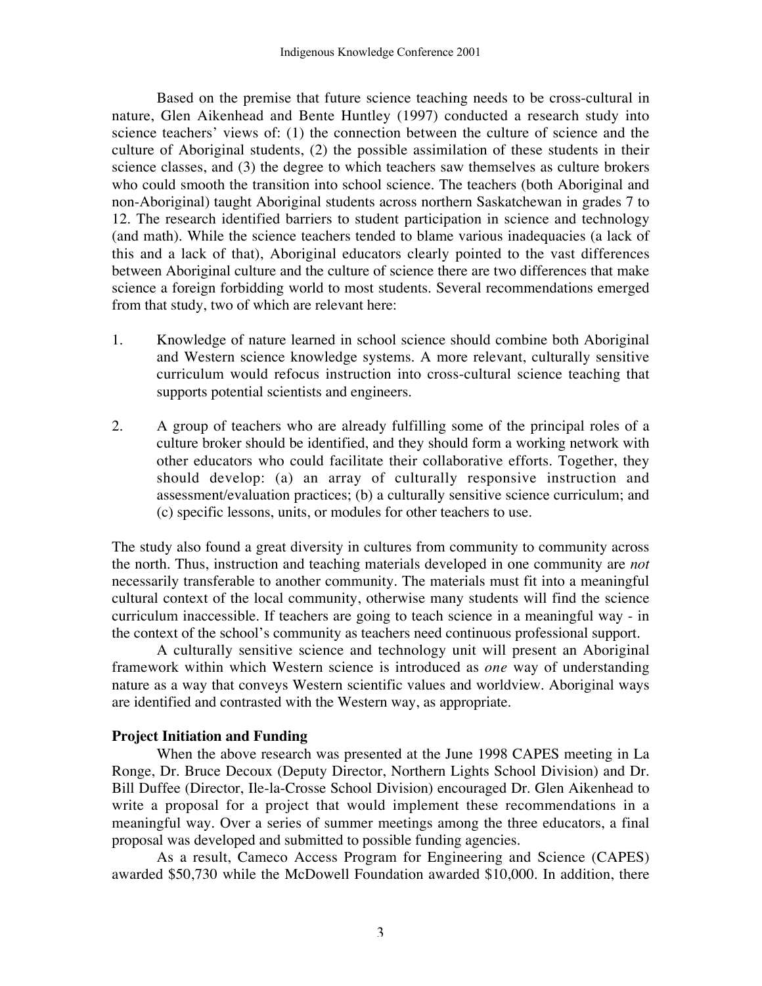Based on the premise that future science teaching needs to be cross-cultural in nature, Glen Aikenhead and Bente Huntley (1997) conducted a research study into science teachers' views of: (1) the connection between the culture of science and the culture of Aboriginal students, (2) the possible assimilation of these students in their science classes, and (3) the degree to which teachers saw themselves as culture brokers who could smooth the transition into school science. The teachers (both Aboriginal and non-Aboriginal) taught Aboriginal students across northern Saskatchewan in grades 7 to 12. The research identified barriers to student participation in science and technology (and math). While the science teachers tended to blame various inadequacies (a lack of this and a lack of that), Aboriginal educators clearly pointed to the vast differences between Aboriginal culture and the culture of science there are two differences that make science a foreign forbidding world to most students. Several recommendations emerged from that study, two of which are relevant here:

- 1. Knowledge of nature learned in school science should combine both Aboriginal and Western science knowledge systems. A more relevant, culturally sensitive curriculum would refocus instruction into cross-cultural science teaching that supports potential scientists and engineers.
- 2. A group of teachers who are already fulfilling some of the principal roles of a culture broker should be identified, and they should form a working network with other educators who could facilitate their collaborative efforts. Together, they should develop: (a) an array of culturally responsive instruction and assessment/evaluation practices; (b) a culturally sensitive science curriculum; and (c) specific lessons, units, or modules for other teachers to use.

The study also found a great diversity in cultures from community to community across the north. Thus, instruction and teaching materials developed in one community are *not* necessarily transferable to another community. The materials must fit into a meaningful cultural context of the local community, otherwise many students will find the science curriculum inaccessible. If teachers are going to teach science in a meaningful way - in the context of the school's community as teachers need continuous professional support.

A culturally sensitive science and technology unit will present an Aboriginal framework within which Western science is introduced as *one* way of understanding nature as a way that conveys Western scientific values and worldview. Aboriginal ways are identified and contrasted with the Western way, as appropriate.

## **Project Initiation and Funding**

When the above research was presented at the June 1998 CAPES meeting in La Ronge, Dr. Bruce Decoux (Deputy Director, Northern Lights School Division) and Dr. Bill Duffee (Director, Ile-la-Crosse School Division) encouraged Dr. Glen Aikenhead to write a proposal for a project that would implement these recommendations in a meaningful way. Over a series of summer meetings among the three educators, a final proposal was developed and submitted to possible funding agencies.

As a result, Cameco Access Program for Engineering and Science (CAPES) awarded \$50,730 while the McDowell Foundation awarded \$10,000. In addition, there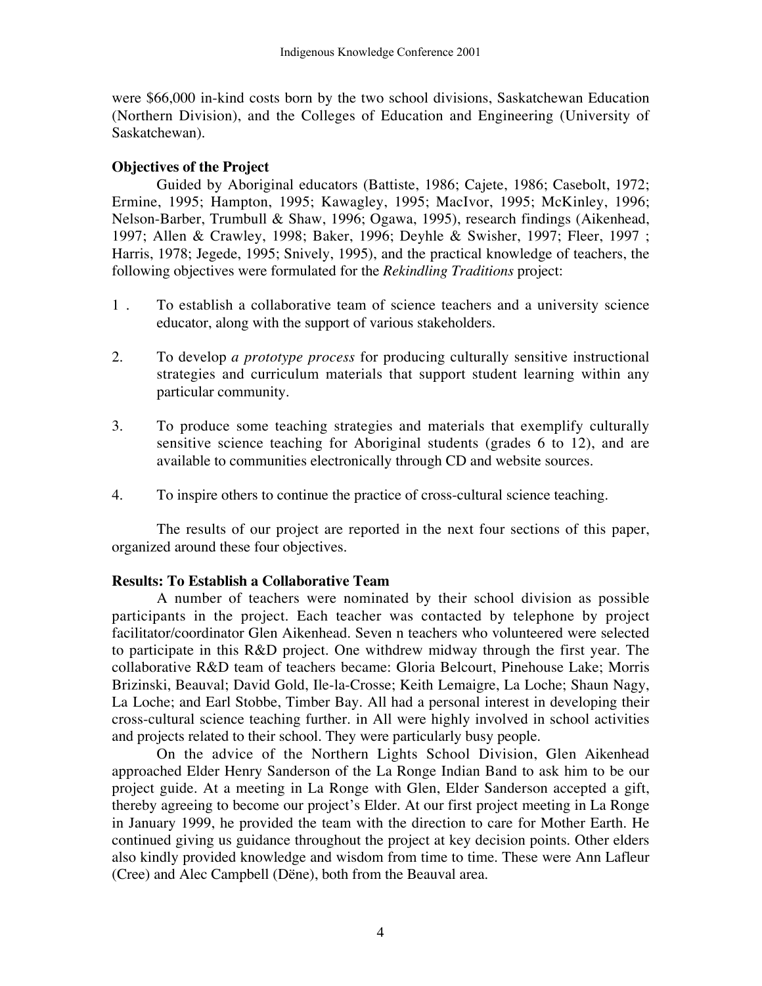were \$66,000 in-kind costs born by the two school divisions, Saskatchewan Education (Northern Division), and the Colleges of Education and Engineering (University of Saskatchewan).

## **Objectives of the Project**

Guided by Aboriginal educators (Battiste, 1986; Cajete, 1986; Casebolt, 1972; Ermine, 1995; Hampton, 1995; Kawagley, 1995; MacIvor, 1995; McKinley, 1996; Nelson-Barber, Trumbull & Shaw, 1996; Ogawa, 1995), research findings (Aikenhead, 1997; Allen & Crawley, 1998; Baker, 1996; Deyhle & Swisher, 1997; Fleer, 1997 ; Harris, 1978; Jegede, 1995; Snively, 1995), and the practical knowledge of teachers, the following objectives were formulated for the *Rekindling Traditions* project:

- 1 . To establish a collaborative team of science teachers and a university science educator, along with the support of various stakeholders.
- 2. To develop *a prototype process* for producing culturally sensitive instructional strategies and curriculum materials that support student learning within any particular community.
- 3. To produce some teaching strategies and materials that exemplify culturally sensitive science teaching for Aboriginal students (grades 6 to 12), and are available to communities electronically through CD and website sources.
- 4. To inspire others to continue the practice of cross-cultural science teaching.

The results of our project are reported in the next four sections of this paper, organized around these four objectives.

### **Results: To Establish a Collaborative Team**

A number of teachers were nominated by their school division as possible participants in the project. Each teacher was contacted by telephone by project facilitator/coordinator Glen Aikenhead. Seven n teachers who volunteered were selected to participate in this R&D project. One withdrew midway through the first year. The collaborative R&D team of teachers became: Gloria Belcourt, Pinehouse Lake; Morris Brizinski, Beauval; David Gold, Ile-la-Crosse; Keith Lemaigre, La Loche; Shaun Nagy, La Loche; and Earl Stobbe, Timber Bay. All had a personal interest in developing their cross-cultural science teaching further. in All were highly involved in school activities and projects related to their school. They were particularly busy people.

On the advice of the Northern Lights School Division, Glen Aikenhead approached Elder Henry Sanderson of the La Ronge Indian Band to ask him to be our project guide. At a meeting in La Ronge with Glen, Elder Sanderson accepted a gift, thereby agreeing to become our project's Elder. At our first project meeting in La Ronge in January 1999, he provided the team with the direction to care for Mother Earth. He continued giving us guidance throughout the project at key decision points. Other elders also kindly provided knowledge and wisdom from time to time. These were Ann Lafleur (Cree) and Alec Campbell (Dëne), both from the Beauval area.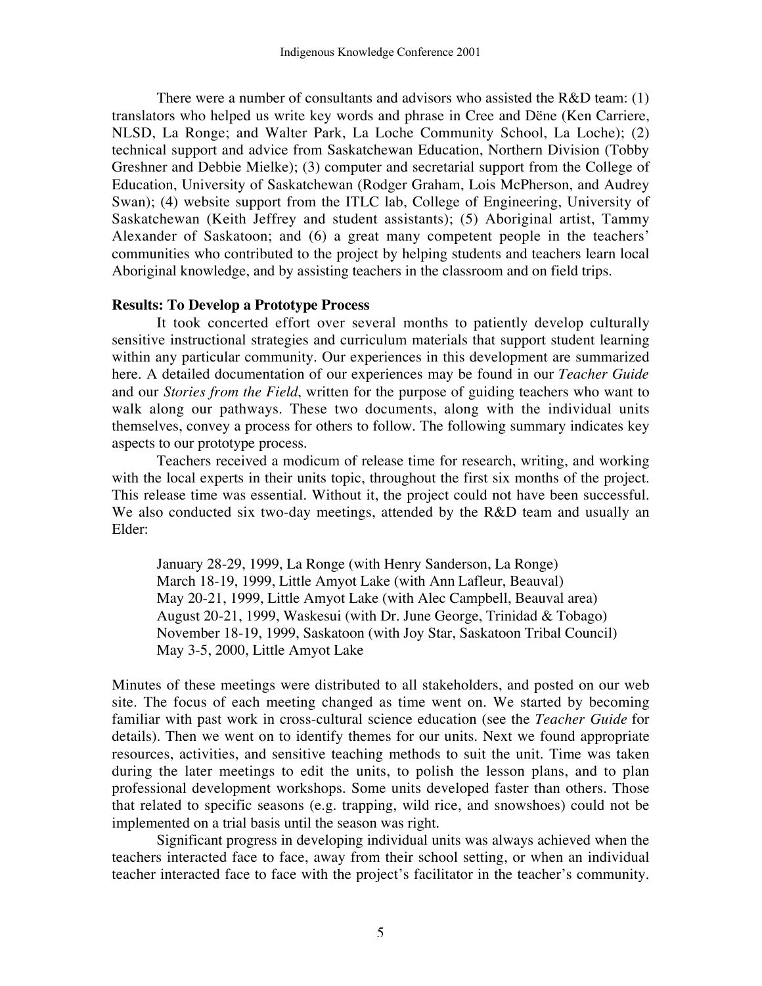There were a number of consultants and advisors who assisted the  $R&D$  team: (1) translators who helped us write key words and phrase in Cree and Dëne (Ken Carriere, NLSD, La Ronge; and Walter Park, La Loche Community School, La Loche); (2) technical support and advice from Saskatchewan Education, Northern Division (Tobby Greshner and Debbie Mielke); (3) computer and secretarial support from the College of Education, University of Saskatchewan (Rodger Graham, Lois McPherson, and Audrey Swan); (4) website support from the ITLC lab, College of Engineering, University of Saskatchewan (Keith Jeffrey and student assistants); (5) Aboriginal artist, Tammy Alexander of Saskatoon; and (6) a great many competent people in the teachers' communities who contributed to the project by helping students and teachers learn local Aboriginal knowledge, and by assisting teachers in the classroom and on field trips.

### **Results: To Develop a Prototype Process**

It took concerted effort over several months to patiently develop culturally sensitive instructional strategies and curriculum materials that support student learning within any particular community. Our experiences in this development are summarized here. A detailed documentation of our experiences may be found in our *Teacher Guide* and our *Stories from the Field*, written for the purpose of guiding teachers who want to walk along our pathways. These two documents, along with the individual units themselves, convey a process for others to follow. The following summary indicates key aspects to our prototype process.

Teachers received a modicum of release time for research, writing, and working with the local experts in their units topic, throughout the first six months of the project. This release time was essential. Without it, the project could not have been successful. We also conducted six two-day meetings, attended by the R&D team and usually an Elder:

January 28-29, 1999, La Ronge (with Henry Sanderson, La Ronge) March 18-19, 1999, Little Amyot Lake (with Ann Lafleur, Beauval) May 20-21, 1999, Little Amyot Lake (with Alec Campbell, Beauval area) August 20-21, 1999, Waskesui (with Dr. June George, Trinidad & Tobago) November 18-19, 1999, Saskatoon (with Joy Star, Saskatoon Tribal Council) May 3-5, 2000, Little Amyot Lake

Minutes of these meetings were distributed to all stakeholders, and posted on our web site. The focus of each meeting changed as time went on. We started by becoming familiar with past work in cross-cultural science education (see the *Teacher Guide* for details). Then we went on to identify themes for our units. Next we found appropriate resources, activities, and sensitive teaching methods to suit the unit. Time was taken during the later meetings to edit the units, to polish the lesson plans, and to plan professional development workshops. Some units developed faster than others. Those that related to specific seasons (e.g. trapping, wild rice, and snowshoes) could not be implemented on a trial basis until the season was right.

Significant progress in developing individual units was always achieved when the teachers interacted face to face, away from their school setting, or when an individual teacher interacted face to face with the project's facilitator in the teacher's community.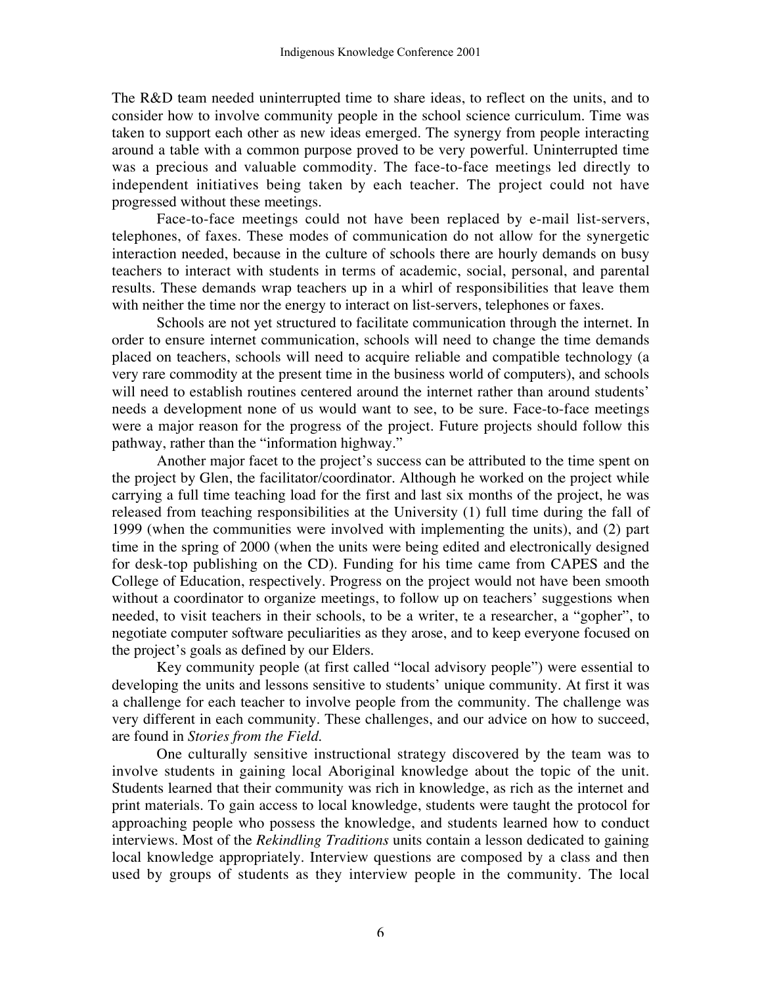The R&D team needed uninterrupted time to share ideas, to reflect on the units, and to consider how to involve community people in the school science curriculum. Time was taken to support each other as new ideas emerged. The synergy from people interacting around a table with a common purpose proved to be very powerful. Uninterrupted time was a precious and valuable commodity. The face-to-face meetings led directly to independent initiatives being taken by each teacher. The project could not have progressed without these meetings.

Face-to-face meetings could not have been replaced by e-mail list-servers, telephones, of faxes. These modes of communication do not allow for the synergetic interaction needed, because in the culture of schools there are hourly demands on busy teachers to interact with students in terms of academic, social, personal, and parental results. These demands wrap teachers up in a whirl of responsibilities that leave them with neither the time nor the energy to interact on list-servers, telephones or faxes.

Schools are not yet structured to facilitate communication through the internet. In order to ensure internet communication, schools will need to change the time demands placed on teachers, schools will need to acquire reliable and compatible technology (a very rare commodity at the present time in the business world of computers), and schools will need to establish routines centered around the internet rather than around students' needs a development none of us would want to see, to be sure. Face-to-face meetings were a major reason for the progress of the project. Future projects should follow this pathway, rather than the "information highway."

Another major facet to the project's success can be attributed to the time spent on the project by Glen, the facilitator/coordinator. Although he worked on the project while carrying a full time teaching load for the first and last six months of the project, he was released from teaching responsibilities at the University (1) full time during the fall of 1999 (when the communities were involved with implementing the units), and (2) part time in the spring of 2000 (when the units were being edited and electronically designed for desk-top publishing on the CD). Funding for his time came from CAPES and the College of Education, respectively. Progress on the project would not have been smooth without a coordinator to organize meetings, to follow up on teachers' suggestions when needed, to visit teachers in their schools, to be a writer, te a researcher, a "gopher", to negotiate computer software peculiarities as they arose, and to keep everyone focused on the project's goals as defined by our Elders.

Key community people (at first called "local advisory people") were essential to developing the units and lessons sensitive to students' unique community. At first it was a challenge for each teacher to involve people from the community. The challenge was very different in each community. These challenges, and our advice on how to succeed, are found in *Stories from the Field*.

One culturally sensitive instructional strategy discovered by the team was to involve students in gaining local Aboriginal knowledge about the topic of the unit. Students learned that their community was rich in knowledge, as rich as the internet and print materials. To gain access to local knowledge, students were taught the protocol for approaching people who possess the knowledge, and students learned how to conduct interviews. Most of the *Rekindling Traditions* units contain a lesson dedicated to gaining local knowledge appropriately. Interview questions are composed by a class and then used by groups of students as they interview people in the community. The local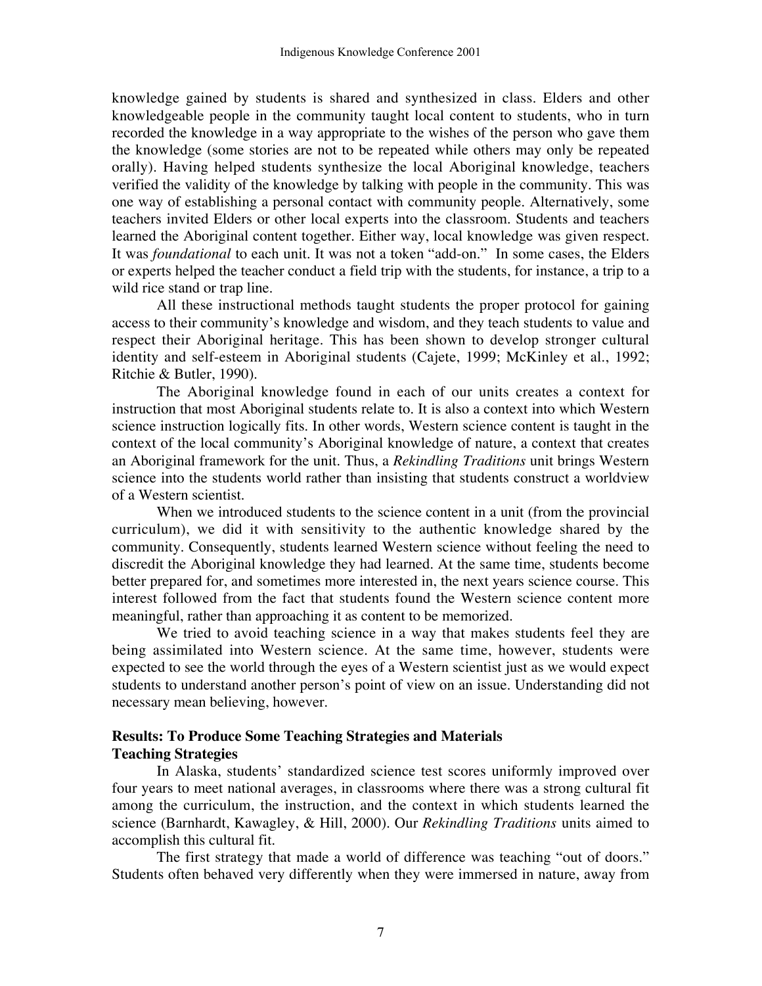knowledge gained by students is shared and synthesized in class. Elders and other knowledgeable people in the community taught local content to students, who in turn recorded the knowledge in a way appropriate to the wishes of the person who gave them the knowledge (some stories are not to be repeated while others may only be repeated orally). Having helped students synthesize the local Aboriginal knowledge, teachers verified the validity of the knowledge by talking with people in the community. This was one way of establishing a personal contact with community people. Alternatively, some teachers invited Elders or other local experts into the classroom. Students and teachers learned the Aboriginal content together. Either way, local knowledge was given respect. It was *foundational* to each unit. It was not a token "add-on." In some cases, the Elders or experts helped the teacher conduct a field trip with the students, for instance, a trip to a wild rice stand or trap line.

All these instructional methods taught students the proper protocol for gaining access to their community's knowledge and wisdom, and they teach students to value and respect their Aboriginal heritage. This has been shown to develop stronger cultural identity and self-esteem in Aboriginal students (Cajete, 1999; McKinley et al., 1992; Ritchie & Butler, 1990).

The Aboriginal knowledge found in each of our units creates a context for instruction that most Aboriginal students relate to. It is also a context into which Western science instruction logically fits. In other words, Western science content is taught in the context of the local community's Aboriginal knowledge of nature, a context that creates an Aboriginal framework for the unit. Thus, a *Rekindling Traditions* unit brings Western science into the students world rather than insisting that students construct a worldview of a Western scientist.

When we introduced students to the science content in a unit (from the provincial curriculum), we did it with sensitivity to the authentic knowledge shared by the community. Consequently, students learned Western science without feeling the need to discredit the Aboriginal knowledge they had learned. At the same time, students become better prepared for, and sometimes more interested in, the next years science course. This interest followed from the fact that students found the Western science content more meaningful, rather than approaching it as content to be memorized.

We tried to avoid teaching science in a way that makes students feel they are being assimilated into Western science. At the same time, however, students were expected to see the world through the eyes of a Western scientist just as we would expect students to understand another person's point of view on an issue. Understanding did not necessary mean believing, however.

## **Results: To Produce Some Teaching Strategies and Materials Teaching Strategies**

In Alaska, students' standardized science test scores uniformly improved over four years to meet national averages, in classrooms where there was a strong cultural fit among the curriculum, the instruction, and the context in which students learned the science (Barnhardt, Kawagley, & Hill, 2000). Our *Rekindling Traditions* units aimed to accomplish this cultural fit.

The first strategy that made a world of difference was teaching "out of doors." Students often behaved very differently when they were immersed in nature, away from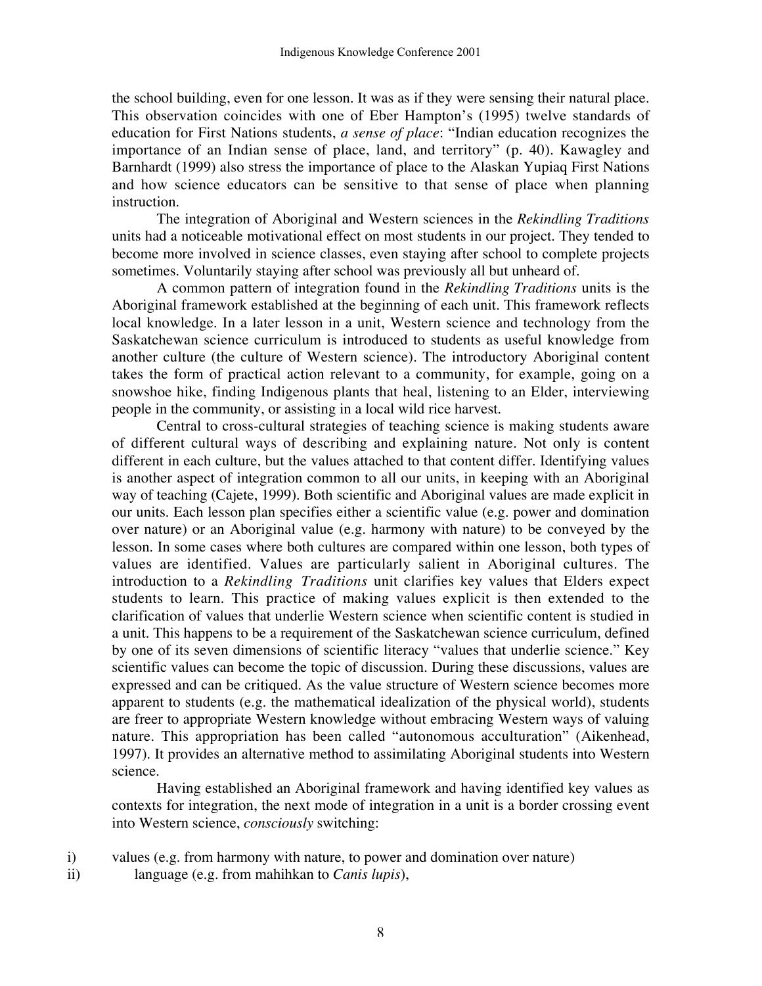the school building, even for one lesson. It was as if they were sensing their natural place. This observation coincides with one of Eber Hampton's (1995) twelve standards of education for First Nations students, *a sense of place*: "Indian education recognizes the importance of an Indian sense of place, land, and territory" (p. 40). Kawagley and Barnhardt (1999) also stress the importance of place to the Alaskan Yupiaq First Nations and how science educators can be sensitive to that sense of place when planning instruction.

The integration of Aboriginal and Western sciences in the *Rekindling Traditions* units had a noticeable motivational effect on most students in our project. They tended to become more involved in science classes, even staying after school to complete projects sometimes. Voluntarily staying after school was previously all but unheard of.

A common pattern of integration found in the *Rekindling Traditions* units is the Aboriginal framework established at the beginning of each unit. This framework reflects local knowledge. In a later lesson in a unit, Western science and technology from the Saskatchewan science curriculum is introduced to students as useful knowledge from another culture (the culture of Western science). The introductory Aboriginal content takes the form of practical action relevant to a community, for example, going on a snowshoe hike, finding Indigenous plants that heal, listening to an Elder, interviewing people in the community, or assisting in a local wild rice harvest.

Central to cross-cultural strategies of teaching science is making students aware of different cultural ways of describing and explaining nature. Not only is content different in each culture, but the values attached to that content differ. Identifying values is another aspect of integration common to all our units, in keeping with an Aboriginal way of teaching (Cajete, 1999). Both scientific and Aboriginal values are made explicit in our units. Each lesson plan specifies either a scientific value (e.g. power and domination over nature) or an Aboriginal value (e.g. harmony with nature) to be conveyed by the lesson. In some cases where both cultures are compared within one lesson, both types of values are identified. Values are particularly salient in Aboriginal cultures. The introduction to a *Rekindling Traditions* unit clarifies key values that Elders expect students to learn. This practice of making values explicit is then extended to the clarification of values that underlie Western science when scientific content is studied in a unit. This happens to be a requirement of the Saskatchewan science curriculum, defined by one of its seven dimensions of scientific literacy "values that underlie science." Key scientific values can become the topic of discussion. During these discussions, values are expressed and can be critiqued. As the value structure of Western science becomes more apparent to students (e.g. the mathematical idealization of the physical world), students are freer to appropriate Western knowledge without embracing Western ways of valuing nature. This appropriation has been called "autonomous acculturation" (Aikenhead, 1997). It provides an alternative method to assimilating Aboriginal students into Western science.

Having established an Aboriginal framework and having identified key values as contexts for integration, the next mode of integration in a unit is a border crossing event into Western science, *consciously* switching:

i) values (e.g. from harmony with nature, to power and domination over nature)

ii) language (e.g. from mahihkan to *Canis lupis*),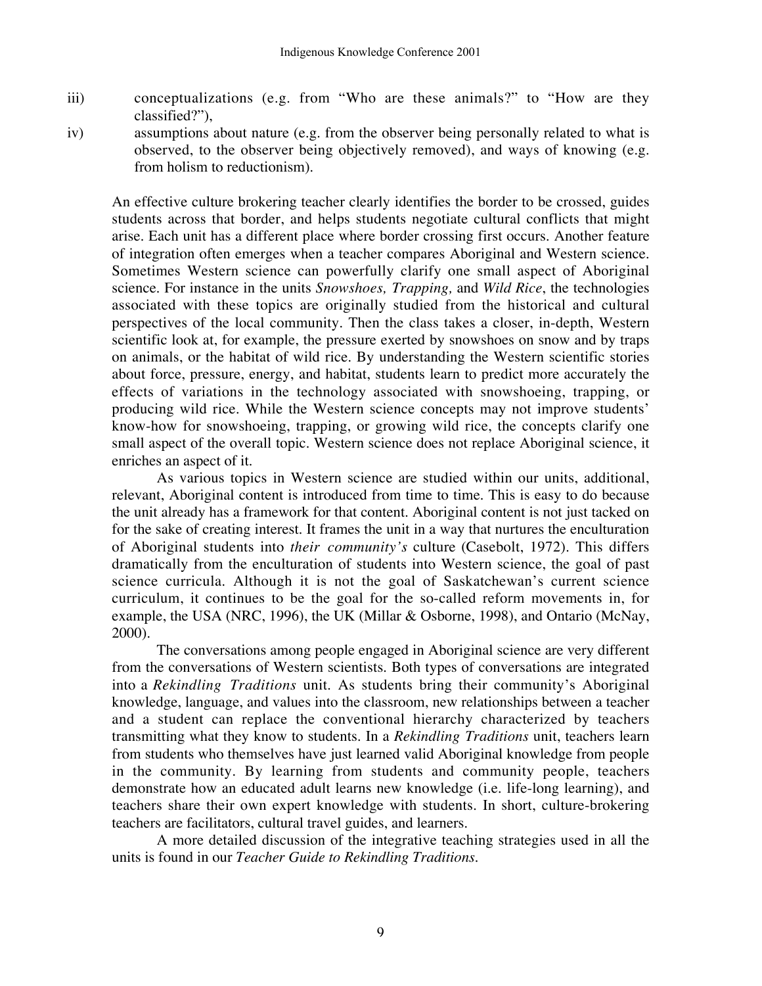- iii) conceptualizations (e.g. from "Who are these animals?" to "How are they classified?"),
- iv) assumptions about nature (e.g. from the observer being personally related to what is observed, to the observer being objectively removed), and ways of knowing (e.g. from holism to reductionism).

An effective culture brokering teacher clearly identifies the border to be crossed, guides students across that border, and helps students negotiate cultural conflicts that might arise. Each unit has a different place where border crossing first occurs. Another feature of integration often emerges when a teacher compares Aboriginal and Western science. Sometimes Western science can powerfully clarify one small aspect of Aboriginal science. For instance in the units *Snowshoes, Trapping,* and *Wild Rice*, the technologies associated with these topics are originally studied from the historical and cultural perspectives of the local community. Then the class takes a closer, in-depth, Western scientific look at, for example, the pressure exerted by snowshoes on snow and by traps on animals, or the habitat of wild rice. By understanding the Western scientific stories about force, pressure, energy, and habitat, students learn to predict more accurately the effects of variations in the technology associated with snowshoeing, trapping, or producing wild rice. While the Western science concepts may not improve students' know-how for snowshoeing, trapping, or growing wild rice, the concepts clarify one small aspect of the overall topic. Western science does not replace Aboriginal science, it enriches an aspect of it.

As various topics in Western science are studied within our units, additional, relevant, Aboriginal content is introduced from time to time. This is easy to do because the unit already has a framework for that content. Aboriginal content is not just tacked on for the sake of creating interest. It frames the unit in a way that nurtures the enculturation of Aboriginal students into *their community's* culture (Casebolt, 1972). This differs dramatically from the enculturation of students into Western science, the goal of past science curricula. Although it is not the goal of Saskatchewan's current science curriculum, it continues to be the goal for the so-called reform movements in, for example, the USA (NRC, 1996), the UK (Millar & Osborne, 1998), and Ontario (McNay, 2000).

The conversations among people engaged in Aboriginal science are very different from the conversations of Western scientists. Both types of conversations are integrated into a *Rekindling Traditions* unit. As students bring their community's Aboriginal knowledge, language, and values into the classroom, new relationships between a teacher and a student can replace the conventional hierarchy characterized by teachers transmitting what they know to students. In a *Rekindling Traditions* unit, teachers learn from students who themselves have just learned valid Aboriginal knowledge from people in the community. By learning from students and community people, teachers demonstrate how an educated adult learns new knowledge (i.e. life-long learning), and teachers share their own expert knowledge with students. In short, culture-brokering teachers are facilitators, cultural travel guides, and learners.

A more detailed discussion of the integrative teaching strategies used in all the units is found in our *Teacher Guide to Rekindling Traditions.*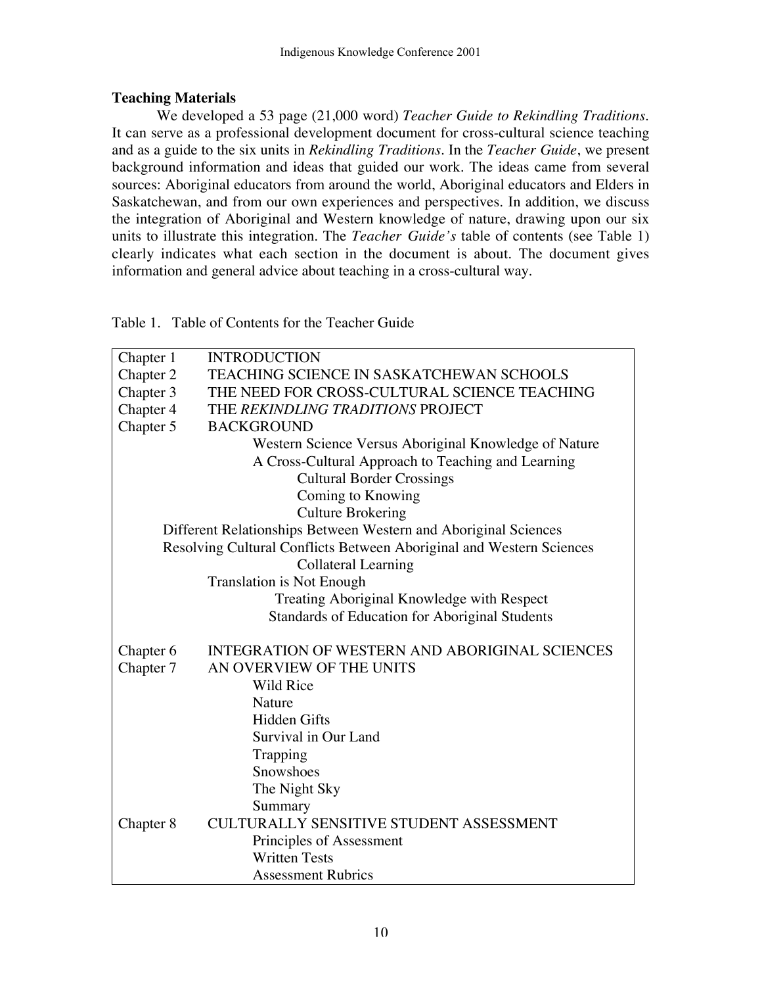## **Teaching Materials**

We developed a 53 page (21,000 word) *Teacher Guide to Rekindling Traditions*. It can serve as a professional development document for cross-cultural science teaching and as a guide to the six units in *Rekindling Traditions*. In the *Teacher Guide*, we present background information and ideas that guided our work. The ideas came from several sources: Aboriginal educators from around the world, Aboriginal educators and Elders in Saskatchewan, and from our own experiences and perspectives. In addition, we discuss the integration of Aboriginal and Western knowledge of nature, drawing upon our six units to illustrate this integration. The *Teacher Guide's* table of contents (see Table 1) clearly indicates what each section in the document is about. The document gives information and general advice about teaching in a cross-cultural way.

Table 1. Table of Contents for the Teacher Guide

| Chapter 1                                                            | <b>INTRODUCTION</b>                                   |  |  |  |  |
|----------------------------------------------------------------------|-------------------------------------------------------|--|--|--|--|
| Chapter 2                                                            | TEACHING SCIENCE IN SASKATCHEWAN SCHOOLS              |  |  |  |  |
| Chapter 3                                                            | THE NEED FOR CROSS-CULTURAL SCIENCE TEACHING          |  |  |  |  |
| Chapter 4                                                            | THE REKINDLING TRADITIONS PROJECT                     |  |  |  |  |
| Chapter 5                                                            | <b>BACKGROUND</b>                                     |  |  |  |  |
|                                                                      | Western Science Versus Aboriginal Knowledge of Nature |  |  |  |  |
|                                                                      | A Cross-Cultural Approach to Teaching and Learning    |  |  |  |  |
|                                                                      | <b>Cultural Border Crossings</b>                      |  |  |  |  |
|                                                                      | Coming to Knowing                                     |  |  |  |  |
| <b>Culture Brokering</b>                                             |                                                       |  |  |  |  |
| Different Relationships Between Western and Aboriginal Sciences      |                                                       |  |  |  |  |
| Resolving Cultural Conflicts Between Aboriginal and Western Sciences |                                                       |  |  |  |  |
| <b>Collateral Learning</b>                                           |                                                       |  |  |  |  |
|                                                                      | <b>Translation is Not Enough</b>                      |  |  |  |  |
|                                                                      | Treating Aboriginal Knowledge with Respect            |  |  |  |  |
|                                                                      | Standards of Education for Aboriginal Students        |  |  |  |  |
| Chapter 6                                                            | <b>INTEGRATION OF WESTERN AND ABORIGINAL SCIENCES</b> |  |  |  |  |
| Chapter 7                                                            | AN OVERVIEW OF THE UNITS                              |  |  |  |  |
|                                                                      | Wild Rice                                             |  |  |  |  |
|                                                                      | Nature                                                |  |  |  |  |
|                                                                      | <b>Hidden Gifts</b>                                   |  |  |  |  |
|                                                                      | Survival in Our Land                                  |  |  |  |  |
|                                                                      | Trapping                                              |  |  |  |  |
|                                                                      | Snowshoes                                             |  |  |  |  |
|                                                                      | The Night Sky                                         |  |  |  |  |
|                                                                      | Summary                                               |  |  |  |  |
| Chapter 8                                                            | <b>CULTURALLY SENSITIVE STUDENT ASSESSMENT</b>        |  |  |  |  |
|                                                                      | Principles of Assessment                              |  |  |  |  |
|                                                                      | <b>Written Tests</b>                                  |  |  |  |  |
|                                                                      | <b>Assessment Rubrics</b>                             |  |  |  |  |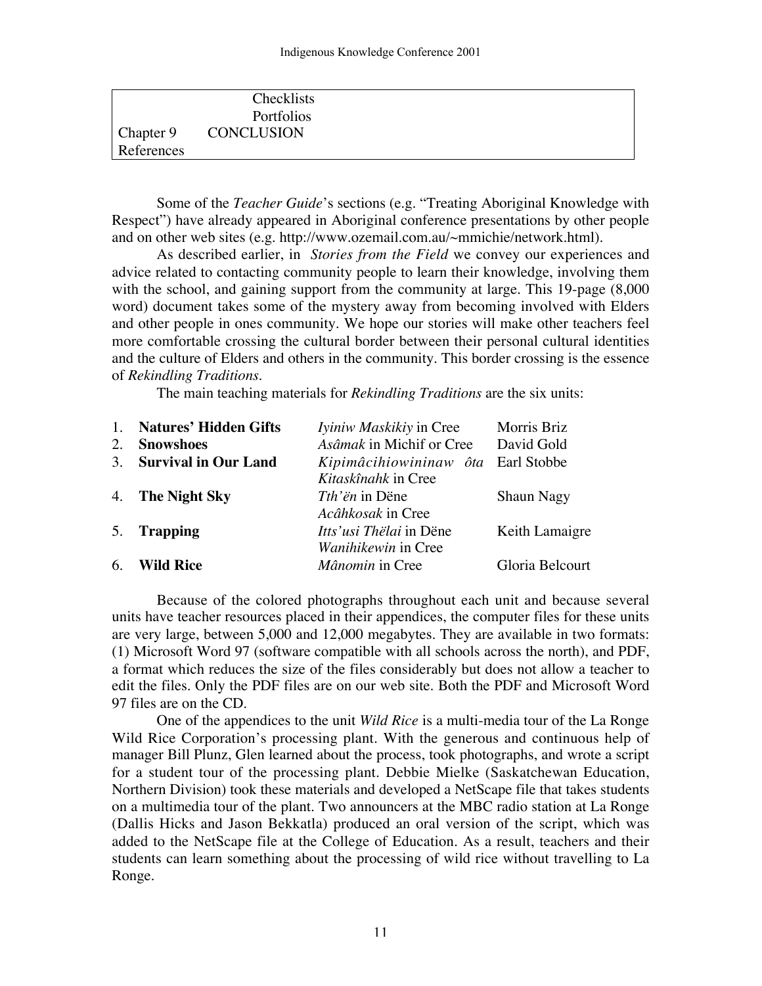|            | Checklists<br>Portfolios |  |
|------------|--------------------------|--|
|            | Chapter 9 CONCLUSION     |  |
| References |                          |  |

Some of the *Teacher Guide*'s sections (e.g. "Treating Aboriginal Knowledge with Respect") have already appeared in Aboriginal conference presentations by other people and on other web sites (e.g. http://www.ozemail.com.au/~mmichie/network.html).

As described earlier, in *Stories from the Field* we convey our experiences and advice related to contacting community people to learn their knowledge, involving them with the school, and gaining support from the community at large. This 19-page (8,000 word) document takes some of the mystery away from becoming involved with Elders and other people in ones community. We hope our stories will make other teachers feel more comfortable crossing the cultural border between their personal cultural identities and the culture of Elders and others in the community. This border crossing is the essence of *Rekindling Traditions*.

The main teaching materials for *Rekindling Traditions* are the six units:

| <b>Natures' Hidden Gifts</b><br><i>Iviniw Maskikiy</i> in Cree<br>$\mathbf{1}$ . | Morris Briz       |
|----------------------------------------------------------------------------------|-------------------|
| Asâmak in Michif or Cree<br><b>Snowshoes</b><br>2.                               | David Gold        |
| <b>Survival in Our Land</b><br>Kipimâcihiowininaw ôta Earl Stobbe<br>3.          |                   |
| Kitaskînahk in Cree                                                              |                   |
| 4. The Night Sky<br><i>Tth'ën</i> in Dëne                                        | <b>Shaun Nagy</b> |
| Acâhkosak in Cree                                                                |                   |
| 5. Trapping<br><i>Itts'usi Thëlai</i> in Dëne                                    | Keith Lamaigre    |
| Wanihikewin in Cree                                                              |                   |
| 6.<br>Mânomin in Cree<br><b>Wild Rice</b>                                        | Gloria Belcourt   |

Because of the colored photographs throughout each unit and because several units have teacher resources placed in their appendices, the computer files for these units are very large, between 5,000 and 12,000 megabytes. They are available in two formats: (1) Microsoft Word 97 (software compatible with all schools across the north), and PDF, a format which reduces the size of the files considerably but does not allow a teacher to edit the files. Only the PDF files are on our web site. Both the PDF and Microsoft Word 97 files are on the CD.

One of the appendices to the unit *Wild Rice* is a multi-media tour of the La Ronge Wild Rice Corporation's processing plant. With the generous and continuous help of manager Bill Plunz, Glen learned about the process, took photographs, and wrote a script for a student tour of the processing plant. Debbie Mielke (Saskatchewan Education, Northern Division) took these materials and developed a NetScape file that takes students on a multimedia tour of the plant. Two announcers at the MBC radio station at La Ronge (Dallis Hicks and Jason Bekkatla) produced an oral version of the script, which was added to the NetScape file at the College of Education. As a result, teachers and their students can learn something about the processing of wild rice without travelling to La Ronge.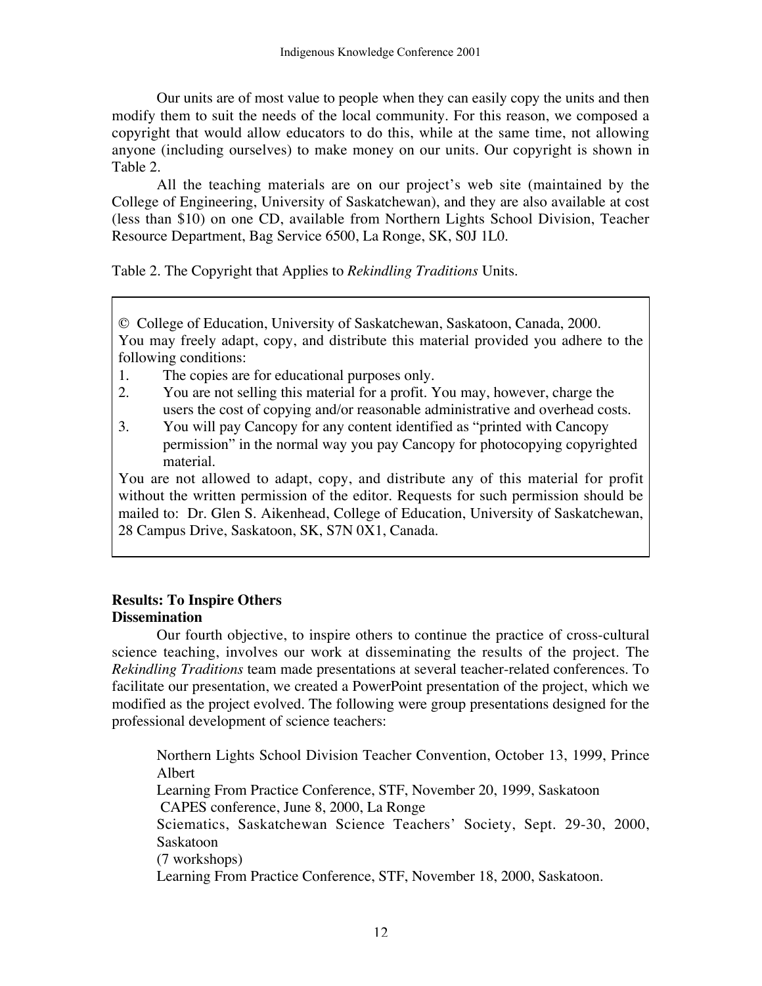Our units are of most value to people when they can easily copy the units and then modify them to suit the needs of the local community. For this reason, we composed a copyright that would allow educators to do this, while at the same time, not allowing anyone (including ourselves) to make money on our units. Our copyright is shown in Table 2.

All the teaching materials are on our project's web site (maintained by the College of Engineering, University of Saskatchewan), and they are also available at cost (less than \$10) on one CD, available from Northern Lights School Division, Teacher Resource Department, Bag Service 6500, La Ronge, SK, S0J 1L0.

Table 2. The Copyright that Applies to *Rekindling Traditions* Units.

© College of Education, University of Saskatchewan, Saskatoon, Canada, 2000. You may freely adapt, copy, and distribute this material provided you adhere to the following conditions:

- 1. The copies are for educational purposes only.
- 2. You are not selling this material for a profit. You may, however, charge the users the cost of copying and/or reasonable administrative and overhead costs.
- 3. You will pay Cancopy for any content identified as "printed with Cancopy permission" in the normal way you pay Cancopy for photocopying copyrighted material.

You are not allowed to adapt, copy, and distribute any of this material for profit without the written permission of the editor. Requests for such permission should be mailed to: Dr. Glen S. Aikenhead, College of Education, University of Saskatchewan, 28 Campus Drive, Saskatoon, SK, S7N 0X1, Canada.

# **Results: To Inspire Others Dissemination**

Our fourth objective, to inspire others to continue the practice of cross-cultural science teaching, involves our work at disseminating the results of the project. The *Rekindling Traditions* team made presentations at several teacher-related conferences. To facilitate our presentation, we created a PowerPoint presentation of the project, which we modified as the project evolved. The following were group presentations designed for the professional development of science teachers:

Northern Lights School Division Teacher Convention, October 13, 1999, Prince Albert Learning From Practice Conference, STF, November 20, 1999, Saskatoon CAPES conference, June 8, 2000, La Ronge Sciematics, Saskatchewan Science Teachers' Society, Sept. 29-30, 2000, Saskatoon (7 workshops) Learning From Practice Conference, STF, November 18, 2000, Saskatoon.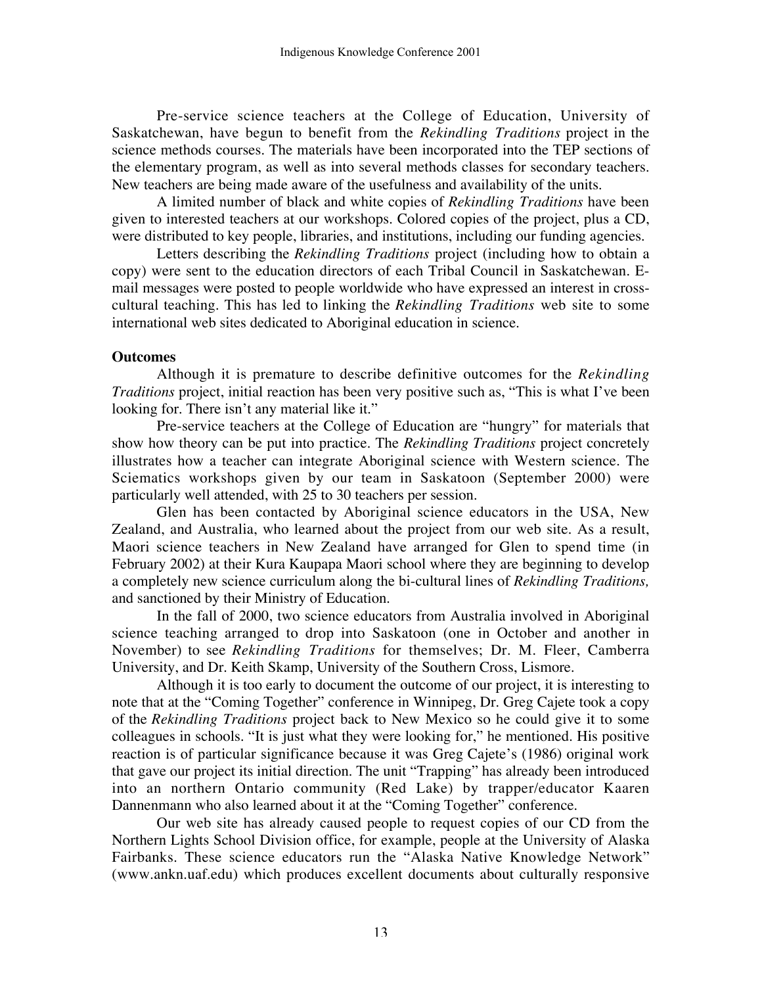Pre-service science teachers at the College of Education, University of Saskatchewan, have begun to benefit from the *Rekindling Traditions* project in the science methods courses. The materials have been incorporated into the TEP sections of the elementary program, as well as into several methods classes for secondary teachers. New teachers are being made aware of the usefulness and availability of the units.

A limited number of black and white copies of *Rekindling Traditions* have been given to interested teachers at our workshops. Colored copies of the project, plus a CD, were distributed to key people, libraries, and institutions, including our funding agencies.

Letters describing the *Rekindling Traditions* project (including how to obtain a copy) were sent to the education directors of each Tribal Council in Saskatchewan. Email messages were posted to people worldwide who have expressed an interest in crosscultural teaching. This has led to linking the *Rekindling Traditions* web site to some international web sites dedicated to Aboriginal education in science.

### **Outcomes**

Although it is premature to describe definitive outcomes for the *Rekindling Traditions* project, initial reaction has been very positive such as, "This is what I've been looking for. There isn't any material like it."

Pre-service teachers at the College of Education are "hungry" for materials that show how theory can be put into practice. The *Rekindling Traditions* project concretely illustrates how a teacher can integrate Aboriginal science with Western science. The Sciematics workshops given by our team in Saskatoon (September 2000) were particularly well attended, with 25 to 30 teachers per session.

Glen has been contacted by Aboriginal science educators in the USA, New Zealand, and Australia, who learned about the project from our web site. As a result, Maori science teachers in New Zealand have arranged for Glen to spend time (in February 2002) at their Kura Kaupapa Maori school where they are beginning to develop a completely new science curriculum along the bi-cultural lines of *Rekindling Traditions,* and sanctioned by their Ministry of Education.

In the fall of 2000, two science educators from Australia involved in Aboriginal science teaching arranged to drop into Saskatoon (one in October and another in November) to see *Rekindling Traditions* for themselves; Dr. M. Fleer, Camberra University, and Dr. Keith Skamp, University of the Southern Cross, Lismore.

Although it is too early to document the outcome of our project, it is interesting to note that at the "Coming Together" conference in Winnipeg, Dr. Greg Cajete took a copy of the *Rekindling Traditions* project back to New Mexico so he could give it to some colleagues in schools. "It is just what they were looking for," he mentioned. His positive reaction is of particular significance because it was Greg Cajete's (1986) original work that gave our project its initial direction. The unit "Trapping" has already been introduced into an northern Ontario community (Red Lake) by trapper/educator Kaaren Dannenmann who also learned about it at the "Coming Together" conference.

Our web site has already caused people to request copies of our CD from the Northern Lights School Division office, for example, people at the University of Alaska Fairbanks. These science educators run the "Alaska Native Knowledge Network" (www.ankn.uaf.edu) which produces excellent documents about culturally responsive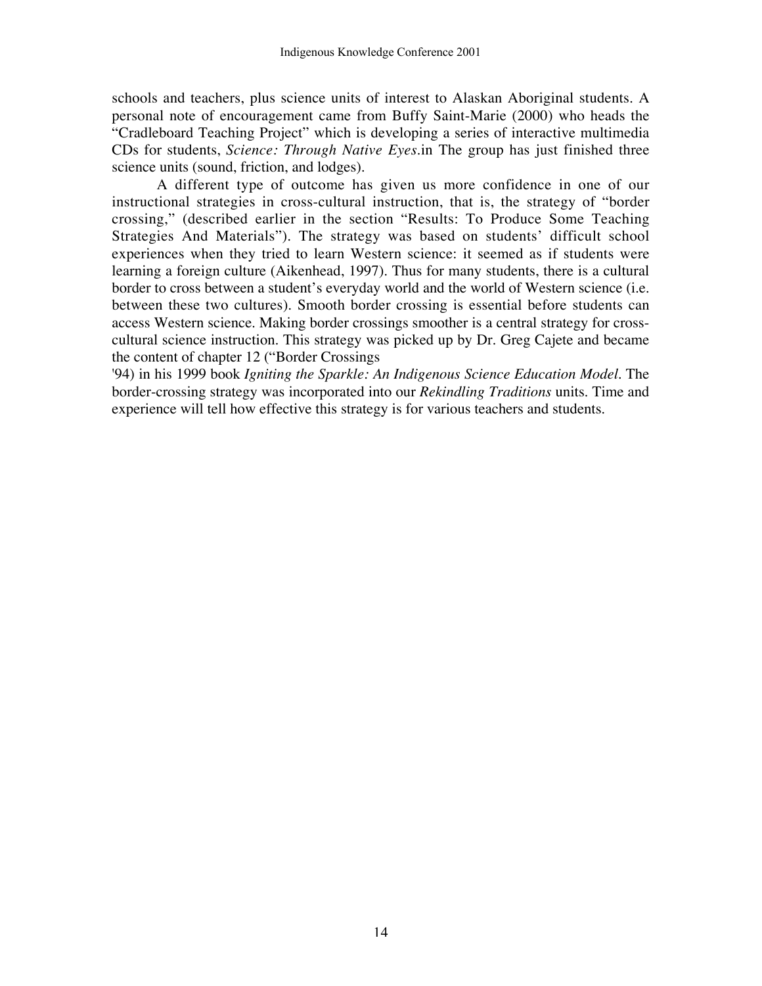schools and teachers, plus science units of interest to Alaskan Aboriginal students. A personal note of encouragement came from Buffy Saint-Marie (2000) who heads the "Cradleboard Teaching Project" which is developing a series of interactive multimedia CDs for students, *Science: Through Native Eyes.*in The group has just finished three science units (sound, friction, and lodges).

A different type of outcome has given us more confidence in one of our instructional strategies in cross-cultural instruction, that is, the strategy of "border crossing," (described earlier in the section "Results: To Produce Some Teaching Strategies And Materials"). The strategy was based on students' difficult school experiences when they tried to learn Western science: it seemed as if students were learning a foreign culture (Aikenhead, 1997). Thus for many students, there is a cultural border to cross between a student's everyday world and the world of Western science (i.e. between these two cultures). Smooth border crossing is essential before students can access Western science. Making border crossings smoother is a central strategy for crosscultural science instruction. This strategy was picked up by Dr. Greg Cajete and became the content of chapter 12 ("Border Crossings

'94) in his 1999 book *Igniting the Sparkle: An Indigenous Science Education Model*. The border-crossing strategy was incorporated into our *Rekindling Traditions* units. Time and experience will tell how effective this strategy is for various teachers and students.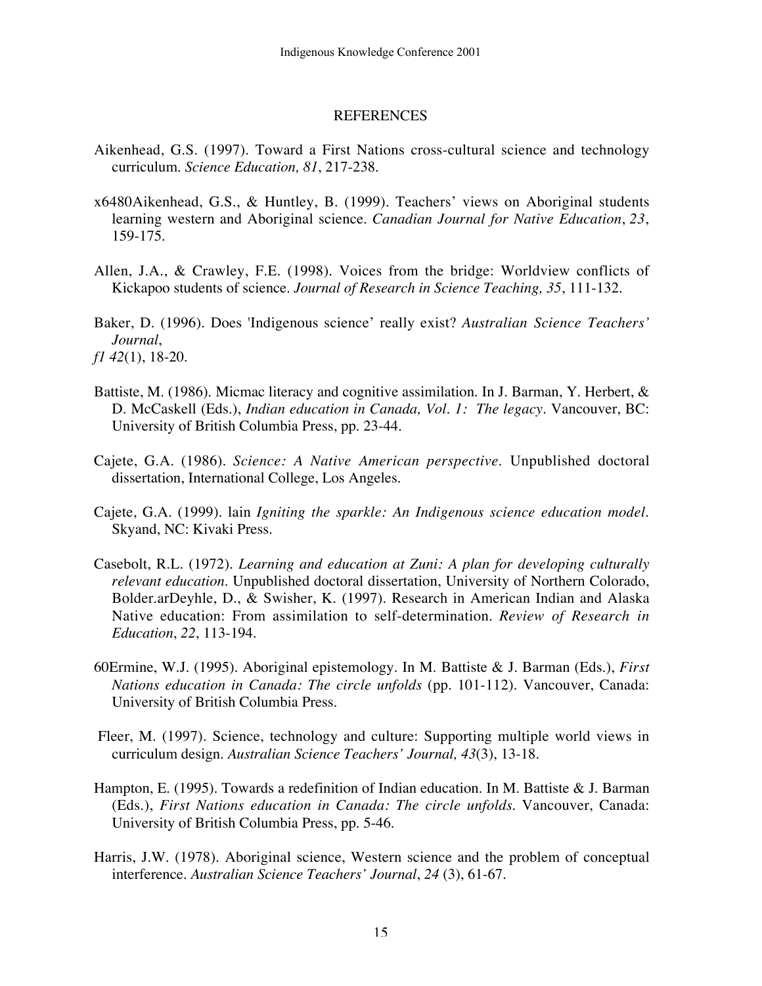#### **REFERENCES**

- Aikenhead, G.S. (1997). Toward a First Nations cross-cultural science and technology curriculum. *Science Education, 81*, 217-238.
- x6480Aikenhead, G.S., & Huntley, B. (1999). Teachers' views on Aboriginal students learning western and Aboriginal science. *Canadian Journal for Native Education*, *23*, 159-175.
- Allen, J.A., & Crawley, F.E. (1998). Voices from the bridge: Worldview conflicts of Kickapoo students of science. *Journal of Research in Science Teaching, 35*, 111-132.
- Baker, D. (1996). Does 'Indigenous science' really exist? *Australian Science Teachers' Journal*, *f1 42*(1), 18-20.
- Battiste, M. (1986). Micmac literacy and cognitive assimilation. In J. Barman, Y. Herbert, & D. McCaskell (Eds.), *Indian education in Canada, Vol. 1: The legacy*. Vancouver, BC: University of British Columbia Press, pp. 23-44.
- Cajete, G.A. (1986). *Science: A Native American perspective*. Unpublished doctoral dissertation, International College, Los Angeles.
- Cajete, G.A. (1999). lain *Igniting the sparkle: An Indigenous science education model*. Skyand, NC: Kivaki Press.
- Casebolt, R.L. (1972). *Learning and education at Zuni: A plan for developing culturally relevant education*. Unpublished doctoral dissertation, University of Northern Colorado, Bolder.arDeyhle, D., & Swisher, K. (1997). Research in American Indian and Alaska Native education: From assimilation to self-determination. *Review of Research in Education*, *22*, 113-194.
- 60Ermine, W.J. (1995). Aboriginal epistemology. In M. Battiste & J. Barman (Eds.), *First Nations education in Canada: The circle unfolds* (pp. 101-112). Vancouver, Canada: University of British Columbia Press.
- Fleer, M. (1997). Science, technology and culture: Supporting multiple world views in curriculum design. *Australian Science Teachers' Journal, 43*(3), 13-18.
- Hampton, E. (1995). Towards a redefinition of Indian education. In M. Battiste & J. Barman (Eds.), *First Nations education in Canada: The circle unfolds*. Vancouver, Canada: University of British Columbia Press, pp. 5-46.
- Harris, J.W. (1978). Aboriginal science, Western science and the problem of conceptual interference. *Australian Science Teachers' Journal*, *24* (3), 61-67.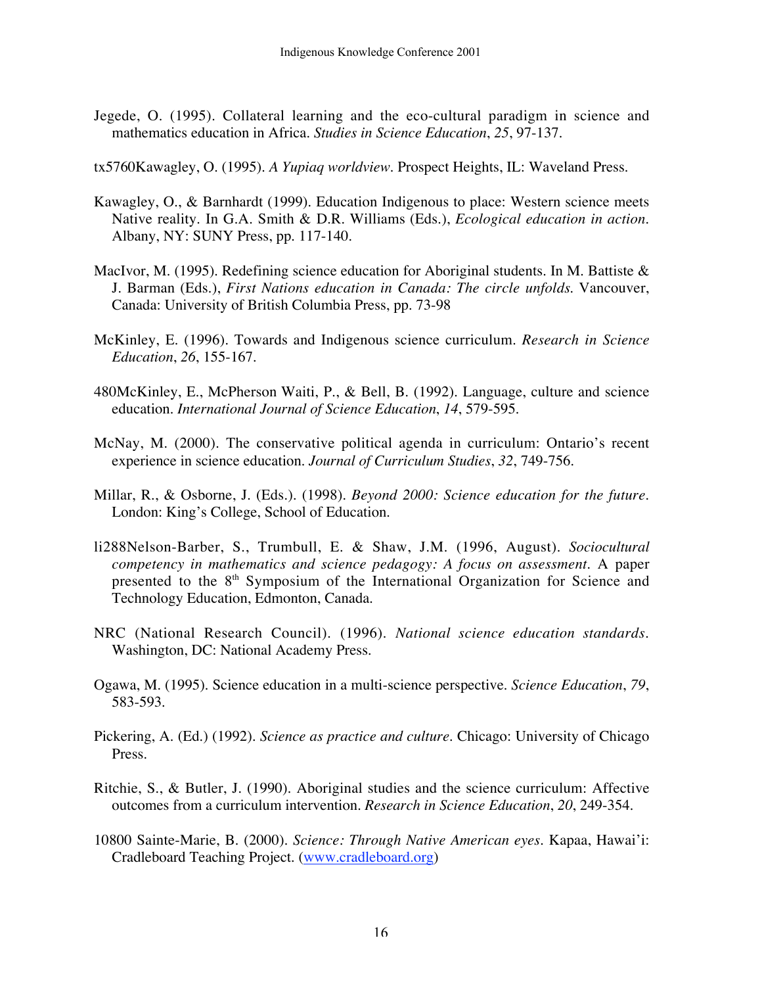- Jegede, O. (1995). Collateral learning and the eco-cultural paradigm in science and mathematics education in Africa. *Studies in Science Education*, *25*, 97-137.
- tx5760Kawagley, O. (1995). *A Yupiaq worldview*. Prospect Heights, IL: Waveland Press.
- Kawagley, O., & Barnhardt (1999). Education Indigenous to place: Western science meets Native reality. In G.A. Smith & D.R. Williams (Eds.), *Ecological education in action*. Albany, NY: SUNY Press, pp. 117-140.
- MacIvor, M. (1995). Redefining science education for Aboriginal students. In M. Battiste & J. Barman (Eds.), *First Nations education in Canada: The circle unfolds*. Vancouver, Canada: University of British Columbia Press, pp. 73-98
- McKinley, E. (1996). Towards and Indigenous science curriculum. *Research in Science Education*, *26*, 155-167.
- 480McKinley, E., McPherson Waiti, P., & Bell, B. (1992). Language, culture and science education. *International Journal of Science Education*, *14*, 579-595.
- McNay, M. (2000). The conservative political agenda in curriculum: Ontario's recent experience in science education. *Journal of Curriculum Studies*, *32*, 749-756.
- Millar, R., & Osborne, J. (Eds.). (1998). *Beyond 2000: Science education for the future*. London: King's College, School of Education.
- li288Nelson-Barber, S., Trumbull, E. & Shaw, J.M. (1996, August). *Sociocultural competency in mathematics and science pedagogy: A focus on assessment*. A paper presented to the  $8<sup>th</sup>$  Symposium of the International Organization for Science and Technology Education, Edmonton, Canada.
- NRC (National Research Council). (1996). *National science education standards*. Washington, DC: National Academy Press.
- Ogawa, M. (1995). Science education in a multi-science perspective. *Science Education*, *79*, 583-593.
- Pickering, A. (Ed.) (1992). *Science as practice and culture*. Chicago: University of Chicago Press.
- Ritchie, S., & Butler, J. (1990). Aboriginal studies and the science curriculum: Affective outcomes from a curriculum intervention. *Research in Science Education*, *20*, 249-354.
- 10800 Sainte-Marie, B. (2000). *Science: Through Native American eyes*. Kapaa, Hawai'i: Cradleboard Teaching Project. (www.cradleboard.org)